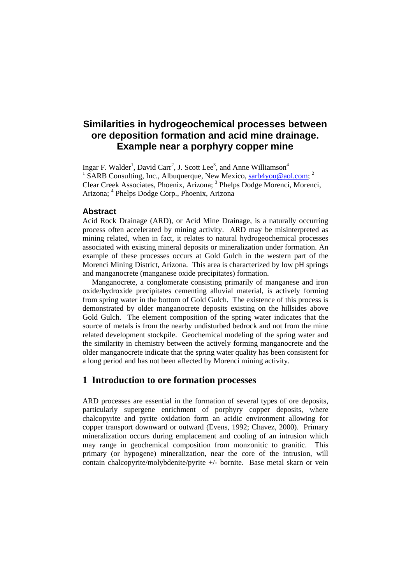# **Similarities in hydrogeochemical processes between ore deposition formation and acid mine drainage. Example near a porphyry copper mine**

Ingar F. Walder<sup>1</sup>, David Carr<sup>2</sup>, J. Scott Lee<sup>3</sup>, and Anne Williamson<sup>4</sup><br><sup>1</sup> SARR Consulting Ine Albuquerque Nou Maries, arth4you@ao <sup>1</sup> SARB Consulting, Inc., Albuquerque, New Mexico, sarb4you@aol.com; <sup>2</sup> Clear Creek Associates, Phoenix, Arizona; <sup>3</sup> Phelps Dodge Morenci, Morenci, Arizona; <sup>4</sup> Phelps Dodge Corp., Phoenix, Arizona

# **Abstract**

Acid Rock Drainage (ARD), or Acid Mine Drainage, is a naturally occurring process often accelerated by mining activity. ARD may be misinterpreted as mining related, when in fact, it relates to natural hydrogeochemical processes associated with existing mineral deposits or mineralization under formation. An example of these processes occurs at Gold Gulch in the western part of the Morenci Mining District, Arizona. This area is characterized by low pH springs and manganocrete (manganese oxide precipitates) formation.

 Manganocrete, a conglomerate consisting primarily of manganese and iron oxide/hydroxide precipitates cementing alluvial material, is actively forming from spring water in the bottom of Gold Gulch. The existence of this process is demonstrated by older manganocrete deposits existing on the hillsides above Gold Gulch. The element composition of the spring water indicates that the source of metals is from the nearby undisturbed bedrock and not from the mine related development stockpile. Geochemical modeling of the spring water and the similarity in chemistry between the actively forming manganocrete and the older manganocrete indicate that the spring water quality has been consistent for a long period and has not been affected by Morenci mining activity.

# **1 Introduction to ore formation processes**

ARD processes are essential in the formation of several types of ore deposits, particularly supergene enrichment of porphyry copper deposits, where chalcopyrite and pyrite oxidation form an acidic environment allowing for copper transport downward or outward (Evens, 1992; Chavez, 2000). Primary mineralization occurs during emplacement and cooling of an intrusion which may range in geochemical composition from monzonitic to granitic. This primary (or hypogene) mineralization, near the core of the intrusion, will contain chalcopyrite/molybdenite/pyrite +/- bornite. Base metal skarn or vein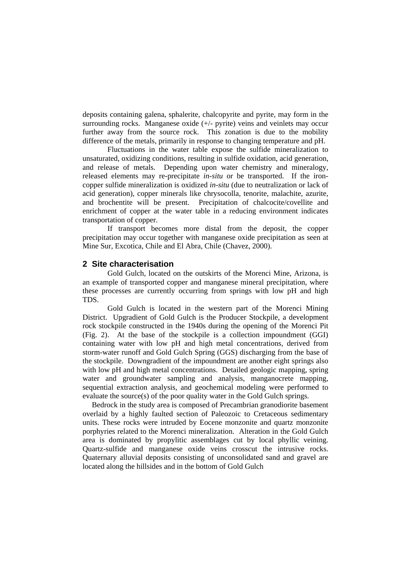deposits containing galena, sphalerite, chalcopyrite and pyrite, may form in the surrounding rocks. Manganese oxide (+/- pyrite) veins and veinlets may occur further away from the source rock. This zonation is due to the mobility difference of the metals, primarily in response to changing temperature and pH.

Fluctuations in the water table expose the sulfide mineralization to unsaturated, oxidizing conditions, resulting in sulfide oxidation, acid generation, and release of metals. Depending upon water chemistry and mineralogy, released elements may re-precipitate *in-situ* or be transported. If the ironcopper sulfide mineralization is oxidized *in-situ* (due to neutralization or lack of acid generation), copper minerals like chrysocolla, tenorite, malachite, azurite, and brochentite will be present. Precipitation of chalcocite/covellite and enrichment of copper at the water table in a reducing environment indicates transportation of copper.

If transport becomes more distal from the deposit, the copper precipitation may occur together with manganese oxide precipitation as seen at Mine Sur, Excotica, Chile and El Abra, Chile (Chavez, 2000).

## **2 Site characterisation**

Gold Gulch, located on the outskirts of the Morenci Mine, Arizona, is an example of transported copper and manganese mineral precipitation, where these processes are currently occurring from springs with low pH and high TDS.

 Gold Gulch is located in the western part of the Morenci Mining District. Upgradient of Gold Gulch is the Producer Stockpile, a development rock stockpile constructed in the 1940s during the opening of the Morenci Pit (Fig. 2). At the base of the stockpile is a collection impoundment (GGI) containing water with low pH and high metal concentrations, derived from storm-water runoff and Gold Gulch Spring (GGS) discharging from the base of the stockpile. Downgradient of the impoundment are another eight springs also with low pH and high metal concentrations. Detailed geologic mapping, spring water and groundwater sampling and analysis, manganocrete mapping, sequential extraction analysis, and geochemical modeling were performed to evaluate the source(s) of the poor quality water in the Gold Gulch springs.

 Bedrock in the study area is composed of Precambrian granodiorite basement overlaid by a highly faulted section of Paleozoic to Cretaceous sedimentary units. These rocks were intruded by Eocene monzonite and quartz monzonite porphyries related to the Morenci mineralization. Alteration in the Gold Gulch area is dominated by propylitic assemblages cut by local phyllic veining. Quartz-sulfide and manganese oxide veins crosscut the intrusive rocks. Quaternary alluvial deposits consisting of unconsolidated sand and gravel are located along the hillsides and in the bottom of Gold Gulch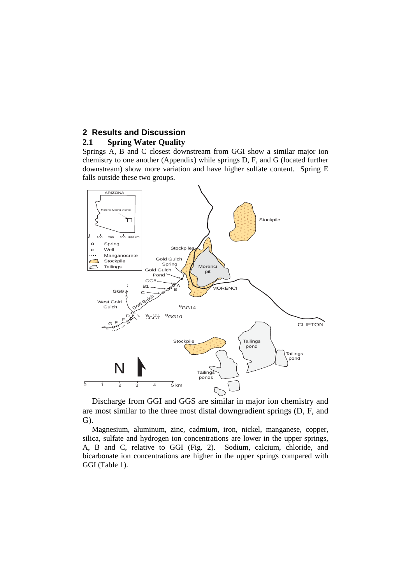# **2 Results and Discussion**

## **2.1 Spring Water Quality**

Springs A, B and C closest downstream from GGI show a similar major ion chemistry to one another (Appendix) while springs D, F, and G (located further downstream) show more variation and have higher sulfate content. Spring E falls outside these two groups.



 Discharge from GGI and GGS are similar in major ion chemistry and are most similar to the three most distal downgradient springs (D, F, and G).

 Magnesium, aluminum, zinc, cadmium, iron, nickel, manganese, copper, silica, sulfate and hydrogen ion concentrations are lower in the upper springs, A, B and C, relative to GGI (Fig. 2). Sodium, calcium, chloride, and bicarbonate ion concentrations are higher in the upper springs compared with GGI (Table 1).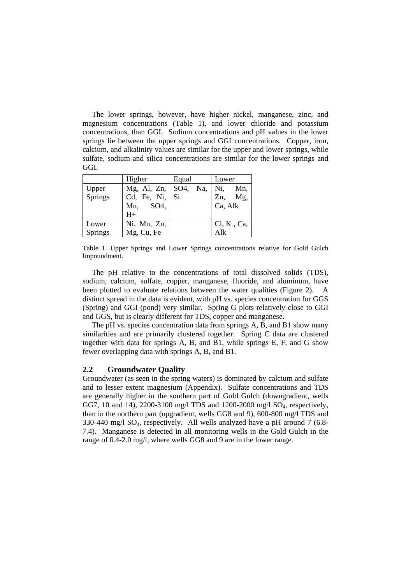The lower springs, however, have higher nickel, manganese, zinc, and magnesium concentrations (Table 1), and lower chloride and potassium concentrations, than GGI. Sodium concentrations and pH values in the lower springs lie between the upper springs and GGI concentrations. Copper, iron, calcium, and alkalinity values are similar for the upper and lower springs, while sulfate, sodium and silica concentrations are similar for the lower springs and GGI.

|         | Higher                       | Equal | Lower      |  |  |
|---------|------------------------------|-------|------------|--|--|
| Upper   | Mg, Al, Zn,   SO4, Na,   Ni, |       | Mn,        |  |  |
| Springs | Cd, Fe, Ni, Si               |       | Zn, Mg,    |  |  |
|         | SO4,<br>Mn,                  |       | Ca, Alk    |  |  |
|         | $H+$                         |       |            |  |  |
| Lower   | Ni, Mn, Zn,                  |       | Cl, K, Ca, |  |  |
| Springs | Mg, Cu, Fe                   |       | Alk        |  |  |

Table 1. Upper Springs and Lower Springs concentrations relative for Gold Gulch Impoundment.

The pH relative to the concentrations of total dissolved solids (TDS), sodium, calcium, sulfate, copper, manganese, fluoride, and aluminum, have been plotted to evaluate relations between the water qualities (Figure 2). A distinct spread in the data is evident, with pH vs. species concentration for GGS (Spring) and GGI (pond) very similar. Spring G plots relatively close to GGI and GGS, but is clearly different for TDS, copper and manganese.

The pH vs. species concentration data from springs A, B, and B1 show many similarities and are primarily clustered together. Spring C data are clustered together with data for springs A, B, and B1, while springs E, F, and G show fewer overlapping data with springs A, B, and B1.

#### **2.2 Groundwater Quality**

Groundwater (as seen in the spring waters) is dominated by calcium and sulfate and to lesser extent magnesium (Appendix). Sulfate concentrations and TDS are generally higher in the southern part of Gold Gulch (downgradient, wells GG7, 10 and 14), 2200-3100 mg/l TDS and 1200-2000 mg/l SO<sub>4</sub>, respectively, than in the northern part (upgradient, wells GG8 and 9), 600-800 mg/l TDS and  $330-440$  mg/l SO<sub>4</sub>, respectively. All wells analyzed have a pH around 7 (6.8-7.4). Manganese is detected in all monitoring wells in the Gold Gulch in the range of 0.4-2.0 mg/l, where wells GG8 and 9 are in the lower range.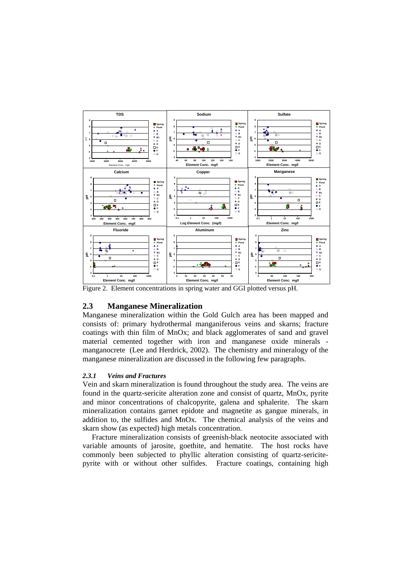

Figure 2. Element concentrations in spring water and GGI plotted versus pH.

## **2.3 Manganese Mineralization**

Manganese mineralization within the Gold Gulch area has been mapped and consists of: primary hydrothermal manganiferous veins and skarns; fracture coatings with thin film of MnOx; and black agglomerates of sand and gravel material cemented together with iron and manganese oxide minerals manganocrete (Lee and Herdrick, 2002). The chemistry and mineralogy of the manganese mineralization are discussed in the following few paragraphs.

## *2.3.1 Veins and Fractures*

Vein and skarn mineralization is found throughout the study area. The veins are found in the quartz-sericite alteration zone and consist of quartz, MnOx, pyrite and minor concentrations of chalcopyrite, galena and sphalerite. The skarn mineralization contains garnet epidote and magnetite as gangue minerals, in addition to, the sulfides and MnOx. The chemical analysis of the veins and skarn show (as expected) high metals concentration.

 Fracture mineralization consists of greenish-black neotocite associated with variable amounts of jarosite, goethite, and hematite. The host rocks have commonly been subjected to phyllic alteration consisting of quartz-sericitepyrite with or without other sulfides. Fracture coatings, containing high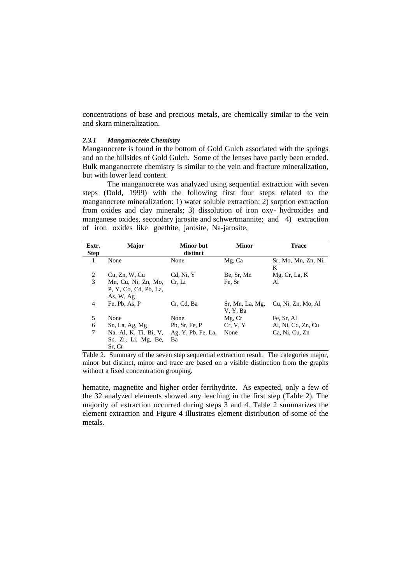concentrations of base and precious metals, are chemically similar to the vein and skarn mineralization.

#### *2.3.1 Manganocrete Chemistry*

Manganocrete is found in the bottom of Gold Gulch associated with the springs and on the hillsides of Gold Gulch. Some of the lenses have partly been eroded. Bulk manganocrete chemistry is similar to the vein and fracture mineralization, but with lower lead content.

The manganocrete was analyzed using sequential extraction with seven steps (Dold, 1999) with the following first four steps related to the manganocrete mineralization: 1) water soluble extraction; 2) sorption extraction from oxides and clay minerals; 3) dissolution of iron oxy- hydroxides and manganese oxides, secondary jarosite and schwertmannite; and 4) extraction of iron oxides like goethite, jarosite, Na-jarosite,

| Extr.<br><b>Step</b> | <b>Major</b>                                              | <b>Minor</b> but<br>distinct | <b>Minor</b>                | <b>Trace</b>             |  |
|----------------------|-----------------------------------------------------------|------------------------------|-----------------------------|--------------------------|--|
| 1                    | None                                                      | None                         | Mg, Ca                      | Sr, Mo, Mn, Zn, Ni,<br>K |  |
| 2                    | Cu, Zn, W, Cu                                             | Cd, Ni, Y                    | Be, Sr, Mn                  | Mg, Cr, La, K            |  |
| 3                    | Mn, Cu, Ni, Zn, Mo,<br>P. Y. Co. Cd. Pb. La.<br>As, W, Ag | Cr. Li                       | Fe, Sr                      | Al                       |  |
| 4                    | Fe, Pb, As, P                                             | Cr. Cd. Ba                   | Sr, Mn, La, Mg,<br>V, Y, Ba | Cu, Ni, Zn, Mo, Al       |  |
| 5                    | None                                                      | None                         | Mg, Cr                      | Fe, Sr, Al               |  |
| 6                    | Sn, La, Ag, Mg                                            | Pb, Sr, Fe, P                | Cr, V, Y                    | Al, Ni, Cd, Zn, Cu       |  |
| 7                    | Na, Al, K, Ti, Bi, V,<br>Sc. Zr. Li. Mg. Be.<br>Sr. Cr    | Ag, Y, Pb, Fe, La,<br>Ba     | None                        | Ca, Ni, Cu, Zn           |  |

Table 2. Summary of the seven step sequential extraction result. The categories major, minor but distinct, minor and trace are based on a visible distinction from the graphs without a fixed concentration grouping.

hematite, magnetite and higher order ferrihydrite. As expected, only a few of the 32 analyzed elements showed any leaching in the first step (Table 2). The majority of extraction occurred during steps 3 and 4. Table 2 summarizes the element extraction and Figure 4 illustrates element distribution of some of the metals.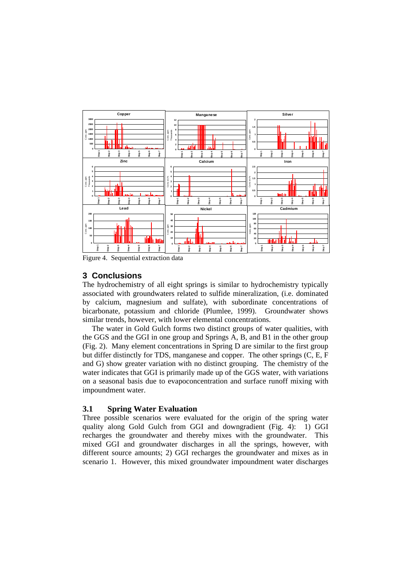

Figure 4. Sequential extraction data

# **3 Conclusions**

The hydrochemistry of all eight springs is similar to hydrochemistry typically associated with groundwaters related to sulfide mineralization, (i.e. dominated by calcium, magnesium and sulfate), with subordinate concentrations of bicarbonate, potassium and chloride (Plumlee, 1999). Groundwater shows similar trends, however, with lower elemental concentrations.

 The water in Gold Gulch forms two distinct groups of water qualities, with the GGS and the GGI in one group and Springs A, B, and B1 in the other group (Fig. 2). Many element concentrations in Spring D are similar to the first group but differ distinctly for TDS, manganese and copper. The other springs (C, E, F and G) show greater variation with no distinct grouping. The chemistry of the water indicates that GGI is primarily made up of the GGS water, with variations on a seasonal basis due to evapoconcentration and surface runoff mixing with impoundment water.

# **3.1 Spring Water Evaluation**

Three possible scenarios were evaluated for the origin of the spring water quality along Gold Gulch from GGI and downgradient (Fig. 4): 1) GGI recharges the groundwater and thereby mixes with the groundwater. This mixed GGI and groundwater discharges in all the springs, however, with different source amounts; 2) GGI recharges the groundwater and mixes as in scenario 1. However, this mixed groundwater impoundment water discharges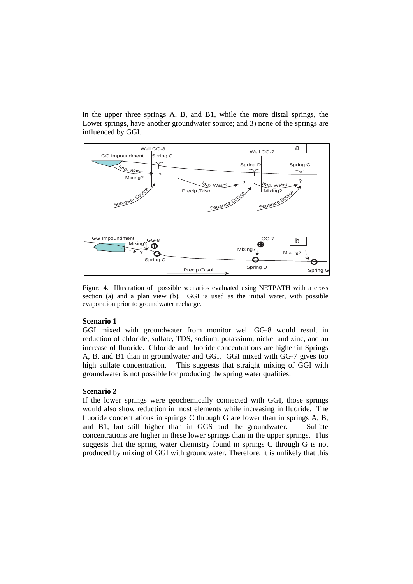in the upper three springs A, B, and B1, while the more distal springs, the Lower springs, have another groundwater source; and 3) none of the springs are influenced by GGI.



Figure 4. Illustration of possible scenarios evaluated using NETPATH with a cross section (a) and a plan view (b). GGI is used as the initial water, with possible evaporation prior to groundwater recharge.

### **Scenario 1**

GGI mixed with groundwater from monitor well GG-8 would result in reduction of chloride, sulfate, TDS, sodium, potassium, nickel and zinc, and an increase of fluoride. Chloride and fluoride concentrations are higher in Springs A, B, and B1 than in groundwater and GGI. GGI mixed with GG-7 gives too high sulfate concentration. This suggests that straight mixing of GGI with groundwater is not possible for producing the spring water qualities.

#### **Scenario 2**

If the lower springs were geochemically connected with GGI, those springs would also show reduction in most elements while increasing in fluoride. The fluoride concentrations in springs C through G are lower than in springs A, B, and B1, but still higher than in GGS and the groundwater. Sulfate concentrations are higher in these lower springs than in the upper springs. This suggests that the spring water chemistry found in springs C through G is not produced by mixing of GGI with groundwater. Therefore, it is unlikely that this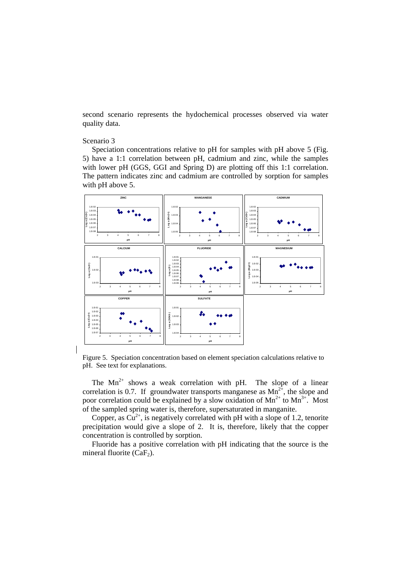second scenario represents the hydochemical processes observed via water quality data.

#### Scenario 3

 Speciation concentrations relative to pH for samples with pH above 5 (Fig. 5) have a 1:1 correlation between pH, cadmium and zinc, while the samples with lower pH (GGS, GGI and Spring D) are plotting off this 1:1 correlation. The pattern indicates zinc and cadmium are controlled by sorption for samples with pH above 5.



Figure 5. Speciation concentration based on element speciation calculations relative to pH. See text for explanations.

The  $Mn^{2+}$  shows a weak correlation with pH. The slope of a linear correlation is 0.7. If groundwater transports manganese as  $Mn^{2+}$ , the slope and poor correlation could be explained by a slow oxidation of  $Mn^{2+}$  to  $Mn^{3+}$ . Most of the sampled spring water is, therefore, supersaturated in manganite.

Copper, as  $Cu^{2+}$ , is negatively correlated with pH with a slope of 1.2, tenorite precipitation would give a slope of 2. It is, therefore, likely that the copper concentration is controlled by sorption.

 Fluoride has a positive correlation with pH indicating that the source is the mineral fluorite  $(CaF<sub>2</sub>)$ .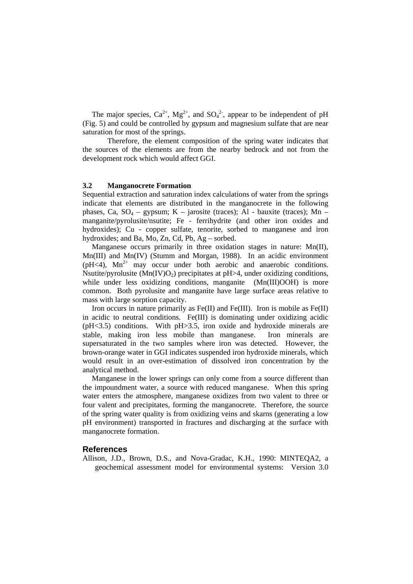The major species,  $Ca^{2+}$ ,  $Mg^{2+}$ , and  $SO_4^{2-}$ , appear to be independent of pH (Fig. 5) and could be controlled by gypsum and magnesium sulfate that are near saturation for most of the springs.

Therefore, the element composition of the spring water indicates that the sources of the elements are from the nearby bedrock and not from the development rock which would affect GGI.

### **3.2 Manganocrete Formation**

Sequential extraction and saturation index calculations of water from the springs indicate that elements are distributed in the manganocrete in the following phases, Ca,  $SO_4$  – gypsum; K – jarosite (traces); Al - bauxite (traces); Mn – manganite/pyrolusite/nsutite; Fe - ferrihydrite (and other iron oxides and hydroxides); Cu - copper sulfate, tenorite, sorbed to manganese and iron hydroxides; and Ba, Mo, Zn, Cd, Pb, Ag – sorbed.

 Manganese occurs primarily in three oxidation stages in nature: Mn(II), Mn(III) and Mn(IV) (Stumm and Morgan, 1988). In an acidic environment ( $pH<4$ ),  $Mn^{2+}$  may occur under both aerobic and anaerobic conditions. Nsutite/pyrolusite  $(Mn(IV)O<sub>2</sub>)$  precipitates at pH $>4$ , under oxidizing conditions, while under less oxidizing conditions, manganite (Mn(III)OOH) is more common. Both pyrolusite and manganite have large surface areas relative to mass with large sorption capacity.

Iron occurs in nature primarily as  $Fe(II)$  and  $Fe(III)$ . Iron is mobile as  $Fe(II)$ in acidic to neutral conditions. Fe(III) is dominating under oxidizing acidic (pH<3.5) conditions. With pH>3.5, iron oxide and hydroxide minerals are stable, making iron less mobile than manganese. Iron minerals are supersaturated in the two samples where iron was detected. However, the brown-orange water in GGI indicates suspended iron hydroxide minerals, which would result in an over-estimation of dissolved iron concentration by the analytical method.

 Manganese in the lower springs can only come from a source different than the impoundment water, a source with reduced manganese. When this spring water enters the atmosphere, manganese oxidizes from two valent to three or four valent and precipitates, forming the manganocrete. Therefore, the source of the spring water quality is from oxidizing veins and skarns (generating a low pH environment) transported in fractures and discharging at the surface with manganocrete formation.

#### **References**

Allison, J.D., Brown, D.S., and Nova-Gradac, K.H., 1990: MINTEQA2, a geochemical assessment model for environmental systems: Version 3.0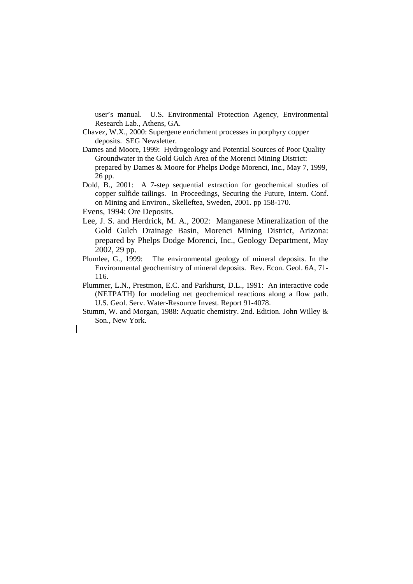user's manual. U.S. Environmental Protection Agency, Environmental Research Lab., Athens, GA.

- Chavez, W.X., 2000: Supergene enrichment processes in porphyry copper deposits. SEG Newsletter.
- Dames and Moore, 1999: Hydrogeology and Potential Sources of Poor Quality Groundwater in the Gold Gulch Area of the Morenci Mining District: prepared by Dames & Moore for Phelps Dodge Morenci, Inc., May 7, 1999, 26 pp.
- Dold, B., 2001: A 7-step sequential extraction for geochemical studies of copper sulfide tailings. In Proceedings, Securing the Future, Intern. Conf. on Mining and Environ., Skelleftea, Sweden, 2001. pp 158-170.
- Evens, 1994: Ore Deposits.
- Lee, J. S. and Herdrick, M. A., 2002: Manganese Mineralization of the Gold Gulch Drainage Basin, Morenci Mining District, Arizona: prepared by Phelps Dodge Morenci, Inc., Geology Department, May 2002, 29 pp.
- Plumlee, G., 1999: The environmental geology of mineral deposits. In the Environmental geochemistry of mineral deposits. Rev. Econ. Geol. 6A, 71- 116.
- Plummer, L.N., Prestmon, E.C. and Parkhurst, D.L., 1991: An interactive code (NETPATH) for modeling net geochemical reactions along a flow path. U.S. Geol. Serv. Water-Resource Invest. Report 91-4078.
- Stumm, W. and Morgan, 1988: Aquatic chemistry. 2nd. Edition. John Willey & Son., New York.